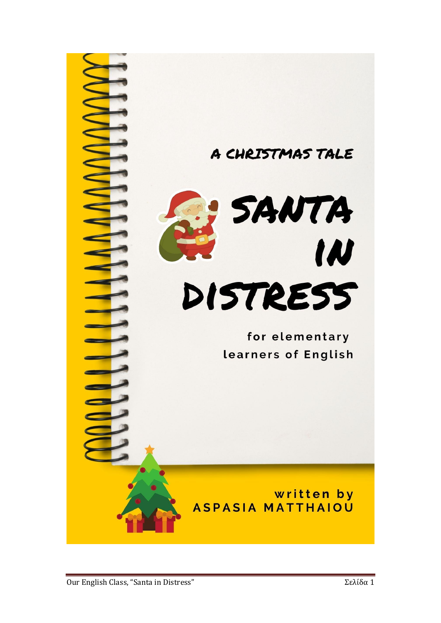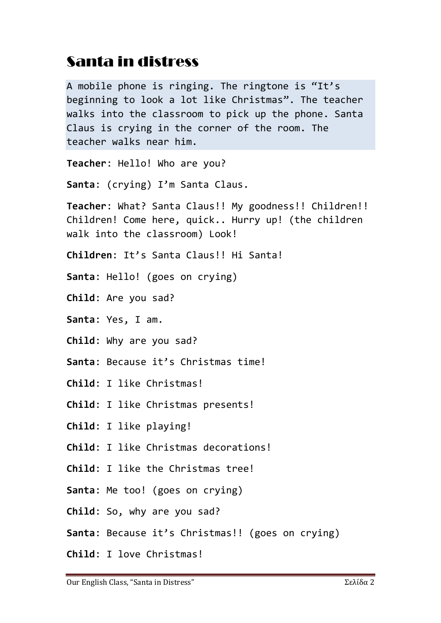## Santa in distress

A mobile phone is ringing. The ringtone is "It's beginning to look a lot like Christmas". The teacher walks into the classroom to pick up the phone. Santa Claus is crying in the corner of the room. The teacher walks near him.

**Teacher**: Hello! Who are you?

**Santa**: (crying) I'm Santa Claus.

**Teacher**: What? Santa Claus!! My goodness!! Children!! Children! Come here, quick.. Hurry up! (the children walk into the classroom) Look!

- **Children**: It's Santa Claus!! Hi Santa!
- **Santa**: Hello! (goes on crying)
- **Child**: Are you sad?
- **Santa**: Yes, I am.
- **Child**: Why are you sad?
- **Santa**: Because it's Christmas time!
- **Child**: I like Christmas!
- **Child**: I like Christmas presents!
- **Child**: I like playing!
- **Child**: I like Christmas decorations!
- **Child**: I like the Christmas tree!
- **Santa**: Me too! (goes on crying)
- **Child**: So, why are you sad?
- **Santa**: Because it's Christmas!! (goes on crying)
- **Child**: I love Christmas!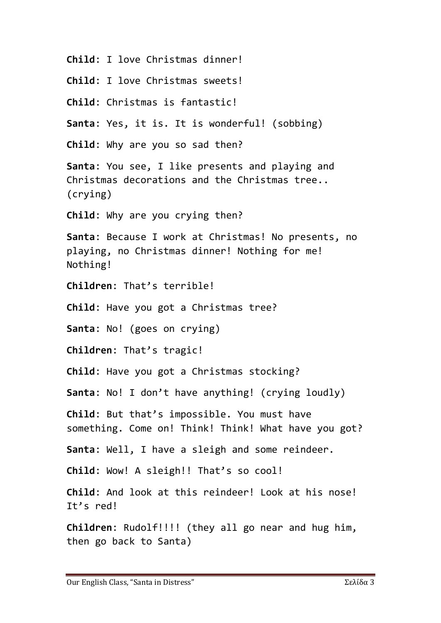**Child**: I love Christmas dinner!

**Child**: I love Christmas sweets!

**Child**: Christmas is fantastic!

**Santa**: Yes, it is. It is wonderful! (sobbing)

**Child**: Why are you so sad then?

**Santa**: You see, I like presents and playing and Christmas decorations and the Christmas tree.. (crying)

**Child**: Why are you crying then?

**Santa**: Because I work at Christmas! No presents, no playing, no Christmas dinner! Nothing for me! Nothing!

**Children**: That's terrible!

**Child**: Have you got a Christmas tree?

**Santa**: No! (goes on crying)

**Children**: That's tragic!

**Child**: Have you got a Christmas stocking?

**Santa**: No! I don't have anything! (crying loudly)

**Child**: But that's impossible. You must have something. Come on! Think! Think! What have you got?

**Santa**: Well, I have a sleigh and some reindeer.

**Child**: Wow! A sleigh!! That's so cool!

**Child**: And look at this reindeer! Look at his nose! It's red!

**Children**: Rudolf!!!! (they all go near and hug him, then go back to Santa)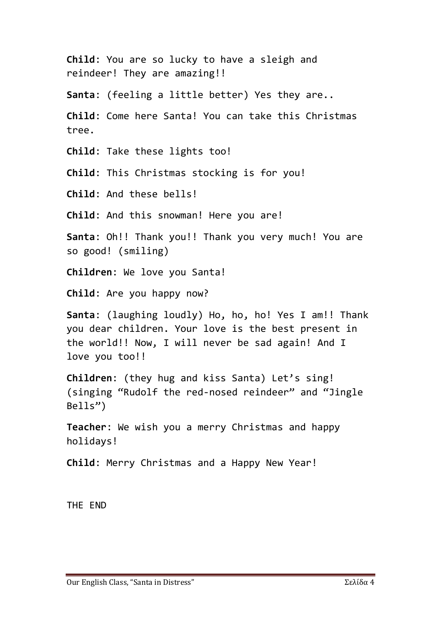**Child**: You are so lucky to have a sleigh and reindeer! They are amazing!! **Santa**: (feeling a little better) Yes they are.. **Child**: Come here Santa! You can take this Christmas tree. **Child**: Take these lights too! **Child**: This Christmas stocking is for you! **Child**: And these bells! **Child**: And this snowman! Here you are! **Santa**: Oh!! Thank you!! Thank you very much! You are so good! (smiling) **Children**: We love you Santa! **Child**: Are you happy now? **Santa**: (laughing loudly) Ho, ho, ho! Yes I am!! Thank you dear children. Your love is the best present in the world!! Now, I will never be sad again! And I love you too!! **Children**: (they hug and kiss Santa) Let's sing! (singing "Rudolf the red-nosed reindeer" and "Jingle Bells") **Teacher**: We wish you a merry Christmas and happy holidays! **Child**: Merry Christmas and a Happy New Year!

THE END